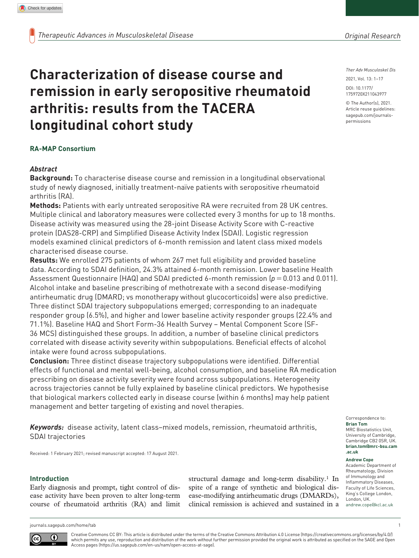**longitudinal cohort study**

*Ther Adv Musculoskel Dis*

DOI: 10.1177/ 2021, Vol. 13: 1–17

© The Author(s), 2021. Article reuse guidelines: sagepub.com/journalspermissions

https://doi.org/10.1177/1759720X211043977 1759720X211043977

#### **RA-MAP Consortium**

### *Abstract*

**Background:** To characterise disease course and remission in a longitudinal observational study of newly diagnosed, initially treatment-naïve patients with seropositive rheumatoid arthritis (RA).

**Characterization of disease course and** 

**arthritis: results from the TACERA** 

**remission in early seropositive rheumatoid** 

**Methods:** Patients with early untreated seropositive RA were recruited from 28 UK centres. Multiple clinical and laboratory measures were collected every 3 months for up to 18 months. Disease activity was measured using the 28-joint Disease Activity Score with C-reactive protein (DAS28-CRP) and Simplified Disease Activity Index (SDAI). Logistic regression models examined clinical predictors of 6-month remission and latent class mixed models characterised disease course.

**Results:** We enrolled 275 patients of whom 267 met full eligibility and provided baseline data. According to SDAI definition, 24.3% attained 6-month remission. Lower baseline Health Assessment Questionnaire (HAQ) and SDAI predicted 6-month remission (*p*=0.013 and 0.011). Alcohol intake and baseline prescribing of methotrexate with a second disease-modifying antirheumatic drug (DMARD; vs monotherapy without glucocorticoids) were also predictive. Three distinct SDAI trajectory subpopulations emerged; corresponding to an inadequate responder group (6.5%), and higher and lower baseline activity responder groups (22.4% and 71.1%). Baseline HAQ and Short Form-36 Health Survey – Mental Component Score (SF-36 MCS) distinguished these groups. In addition, a number of baseline clinical predictors correlated with disease activity severity within subpopulations. Beneficial effects of alcohol intake were found across subpopulations.

**Conclusion:** Three distinct disease trajectory subpopulations were identified. Differential effects of functional and mental well-being, alcohol consumption, and baseline RA medication prescribing on disease activity severity were found across subpopulations. Heterogeneity across trajectories cannot be fully explained by baseline clinical predictors. We hypothesise that biological markers collected early in disease course (within 6 months) may help patient management and better targeting of existing and novel therapies.

*Keywords:* disease activity, latent class–mixed models, remission, rheumatoid arthritis, SDAI trajectories

Received: 1 February 2021; revised manuscript accepted: 17 August 2021.

#### **Introduction**

Early diagnosis and prompt, tight control of disease activity have been proven to alter long-term course of rheumatoid arthritis (RA) and limit structural damage and long-term disability.<sup>1</sup> In spite of a range of synthetic and biological disease-modifying antirheumatic drugs (DMARDs), clinical remission is achieved and sustained in a

Correspondence to: **Brian Tom** MRC Biostatistics Unit, University of Cambridge, Cambridge CB2 0SR, UK. **brian.tom@mrc-bsu.cam .ac.uk**

#### **Andrew Cope**

Academic Department of Rheumatology, Division of Immunology and Inflammatory Diseases, Faculty of Life Sciences, King's College London, London, UK. andrew.cope@kcl.ac.uk

journals.sagepub.com/home/tab 1

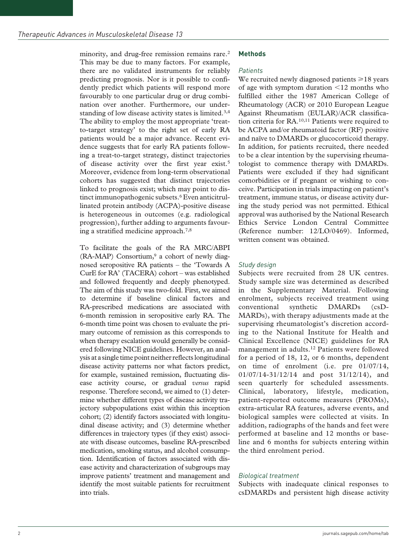minority, and drug-free remission remains rare.<sup>2</sup> This may be due to many factors. For example, there are no validated instruments for reliably predicting prognosis. Nor is it possible to confidently predict which patients will respond more favourably to one particular drug or drug combination over another. Furthermore, our understanding of low disease activity states is limited.<sup>3,4</sup> The ability to employ the most appropriate 'treatto-target strategy' to the right set of early RA patients would be a major advance. Recent evidence suggests that for early RA patients following a treat-to-target strategy, distinct trajectories of disease activity over the first year exist.<sup>5</sup> Moreover, evidence from long-term observational cohorts has suggested that distinct trajectories linked to prognosis exist; which may point to distinct immunopathogenic subsets.<sup>6</sup> Even anticitrullinated protein antibody (ACPA)-positive disease is heterogeneous in outcomes (e.g. radiological progression), further adding to arguments favouring a stratified medicine approach.7,8

To facilitate the goals of the RA MRC/ABPI  $(RA-MAP)$  Consortium,<sup>9</sup> a cohort of newly diagnosed seropositive RA patients – the 'Towards A CurE for RA' (TACERA) cohort – was established and followed frequently and deeply phenotyped. The aim of this study was two-fold. First, we aimed to determine if baseline clinical factors and RA-prescribed medications are associated with 6-month remission in seropositive early RA. The 6-month time point was chosen to evaluate the primary outcome of remission as this corresponds to when therapy escalation would generally be considered following NICE guidelines. However, an analysis at a single time point neither reflects longitudinal disease activity patterns nor what factors predict, for example, sustained remission, fluctuating disease activity course, or gradual *versus* rapid response. Therefore second, we aimed to (1) determine whether different types of disease activity trajectory subpopulations exist within this inception cohort; (2) identify factors associated with longitudinal disease activity; and (3) determine whether differences in trajectory types (if they exist) associate with disease outcomes, baseline RA-prescribed medication, smoking status, and alcohol consumption. Identification of factors associated with disease activity and characterization of subgroups may improve patients' treatment and management and identify the most suitable patients for recruitment into trials.

# **Methods**

# *Patients*

We recruited newly diagnosed patients  $\geq 18$  years of age with symptom duration <12 months who fulfilled either the 1987 American College of Rheumatology (ACR) or 2010 European League Against Rheumatism (EULAR)/ACR classification criteria for RA.10,11 Patients were required to be ACPA and/or rheumatoid factor (RF) positive and naïve to DMARDs or glucocorticoid therapy. In addition, for patients recruited, there needed to be a clear intention by the supervising rheumatologist to commence therapy with DMARDs. Patients were excluded if they had significant comorbidities or if pregnant or wishing to conceive. Participation in trials impacting on patient's treatment, immune status, or disease activity during the study period was not permitted. Ethical approval was authorised by the National Research Ethics Service London Central Committee (Reference number: 12/LO/0469). Informed, written consent was obtained.

# *Study design*

Subjects were recruited from 28 UK centres. Study sample size was determined as described in the Supplementary Material. Following enrolment, subjects received treatment using conventional synthetic DMARDs (csD-MARDs), with therapy adjustments made at the supervising rheumatologist's discretion according to the National Institute for Health and Clinical Excellence (NICE) guidelines for RA management in adults.12 Patients were followed for a period of 18, 12, or 6 months, dependent on time of enrolment (i.e. pre 01/07/14, 01/07/14-31/12/14 and post 31/12/14), and seen quarterly for scheduled assessments. Clinical, laboratory, lifestyle, medication, patient-reported outcome measures (PROMs), extra-articular RA features, adverse events, and biological samples were collected at visits. In addition, radiographs of the hands and feet were performed at baseline and 12 months or baseline and 6 months for subjects entering within the third enrolment period.

# *Biological treatment*

Subjects with inadequate clinical responses to csDMARDs and persistent high disease activity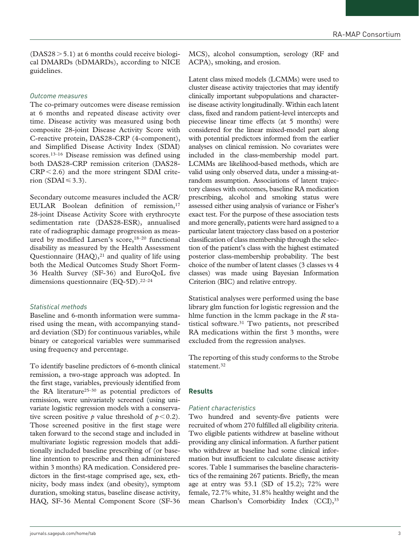$(DAS28 > 5.1)$  at 6 months could receive biological DMARDs (bDMARDs), according to NICE guidelines.

# *Outcome measures*

The co-primary outcomes were disease remission at 6 months and repeated disease activity over time. Disease activity was measured using both composite 28-joint Disease Activity Score with C-reactive protein, DAS28-CRP (4-component), and Simplified Disease Activity Index (SDAI) scores.<sup>13-16</sup> Disease remission was defined using both DAS28-CRP remission criterion (DAS28-  $CRP < 2.6$ ) and the more stringent SDAI criterion (SDAI  $\leq$  3.3).

Secondary outcome measures included the ACR/ EULAR Boolean definition of remission,<sup>17</sup> 28-joint Disease Activity Score with erythrocyte sedimentation rate (DAS28-ESR), annualised rate of radiographic damage progression as measured by modified Larsen's score,<sup>18-20</sup> functional disability as measured by the Health Assessment Questionnaire  $(HAQ),<sup>21</sup>$  and quality of life using both the Medical Outcomes Study Short Form-36 Health Survey (SF-36) and EuroQoL five dimensions questionnaire (EQ-5D).<sup>22-24</sup>

# *Statistical methods*

Baseline and 6-month information were summarised using the mean, with accompanying standard deviation (SD) for continuous variables, while binary or categorical variables were summarised using frequency and percentage.

To identify baseline predictors of 6-month clinical remission, a two-stage approach was adopted. In the first stage, variables, previously identified from the RA literature<sup>25-30</sup> as potential predictors of remission, were univariately screened (using univariate logistic regression models with a conservative screen positive *p* value threshold of  $p < 0.2$ ). Those screened positive in the first stage were taken forward to the second stage and included in multivariate logistic regression models that additionally included baseline prescribing of (or baseline intention to prescribe and then administered within 3 months) RA medication. Considered predictors in the first-stage comprised age, sex, ethnicity, body mass index (and obesity), symptom duration, smoking status, baseline disease activity, HAQ, SF-36 Mental Component Score (SF-36

MCS), alcohol consumption, serology (RF and ACPA), smoking, and erosion.

Latent class mixed models (LCMMs) were used to cluster disease activity trajectories that may identify clinically important subpopulations and characterise disease activity longitudinally. Within each latent class, fixed and random patient-level intercepts and piecewise linear time effects (at 5 months) were considered for the linear mixed-model part along with potential predictors informed from the earlier analyses on clinical remission. No covariates were included in the class-membership model part. LCMMs are likelihood-based methods, which are valid using only observed data, under a missing-atrandom assumption. Associations of latent trajectory classes with outcomes, baseline RA medication prescribing, alcohol and smoking status were assessed either using analysis of variance or Fisher's exact test. For the purpose of these association tests and more generally, patients were hard assigned to a particular latent trajectory class based on a posterior classification of class membership through the selection of the patient's class with the highest estimated posterior class-membership probability. The best choice of the number of latent classes (3 classes vs 4 classes) was made using Bayesian Information Criterion (BIC) and relative entropy.

Statistical analyses were performed using the base library glm function for logistic regression and the hlme function in the lcmm package in the *R* statistical software.<sup>31</sup> Two patients, not prescribed RA medications within the first 3 months, were excluded from the regression analyses.

The reporting of this study conforms to the Strobe statement.<sup>32</sup>

# **Results**

# *Patient characteristics*

Two hundred and seventy-five patients were recruited of whom 270 fulfilled all eligibility criteria. Two eligible patients withdrew at baseline without providing any clinical information. A further patient who withdrew at baseline had some clinical information but insufficient to calculate disease activity scores. Table 1 summarises the baseline characteristics of the remaining 267 patients. Briefly, the mean age at entry was  $53.1$  (SD of 15.2);  $72\%$  were female, 72.7% white, 31.8% healthy weight and the mean Charlson's Comorbidity Index (CCI), 33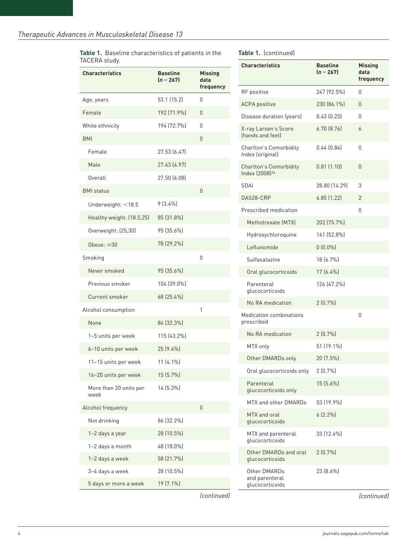**Table 1.** Baseline characteristics of patients in the TACERA study.

| <b>Characteristics</b>         | <b>Baseline</b><br>$(n = 267)$ | <b>Missing</b><br>data<br>frequency |
|--------------------------------|--------------------------------|-------------------------------------|
| Age, years                     | 53.1 (15.2)                    | 0                                   |
| Female                         | 192 (71.9%)                    | 0                                   |
| White ethnicity                | 194 (72.7%)                    | 0                                   |
| <b>BMI</b>                     |                                | 0                                   |
| Female                         | 27.53 (6.47)                   |                                     |
| Male                           | 27.43 (4.97)                   |                                     |
| Overall                        | 27.50 (6.08)                   |                                     |
| <b>BMI</b> status              |                                | 0                                   |
| Underweight: <18.5             | $9(3.4\%)$                     |                                     |
| Healthy weight: (18.5,25)      | 85 (31.8%)                     |                                     |
| Overweight: (25,30)            | 95 (35.6%)                     |                                     |
| Obese: $\geqslant$ 30          | 78 (29.2%)                     |                                     |
| Smoking                        |                                | 0                                   |
| Never smoked                   | 95 (35.6%)                     |                                     |
| Previous smoker                | 104 (39.0%)                    |                                     |
| Current smoker                 | 68 (25.4%)                     |                                     |
| Alcohol consumption            |                                | 1                                   |
| None                           | 86 (32.3%)                     |                                     |
| 1-5 units per week             | 115 (43.2%)                    |                                     |
| 6-10 units per week            | 25 (9.4%)                      |                                     |
| 11-15 units per week           | $11(4.1\%)$                    |                                     |
| 16-20 units per week           | 15 (5.7%)                      |                                     |
| More than 20 units per<br>week | 14 (5.3%)                      |                                     |
| Alcohol frequency              |                                | 0                                   |
| Not drinking                   | 86 (32.2%)                     |                                     |
| 1-2 days a year                | 28 (10.5%)                     |                                     |
| 1-2 days a month               | 48 (18.0%)                     |                                     |
| 1-2 days a week                | 58 (21.7%)                     |                                     |
| 3-4 days a week                | 28 (10.5%)                     |                                     |
| 5 days or more a week          | 19 (7.1%)                      |                                     |
|                                |                                |                                     |

|  | Table 1. (continued) |
|--|----------------------|
|--|----------------------|

|      | <b>Characteristics</b>                               | <b>Baseline</b><br>$(n = 267)$ | <b>Missing</b><br>data<br>frequency |
|------|------------------------------------------------------|--------------------------------|-------------------------------------|
|      | RF positive                                          | 247 (92.5%)                    | 0                                   |
|      | <b>ACPA</b> positive                                 | 230 (86.1%)                    | 0                                   |
|      | Disease duration (years)                             | 0.43(0.23)                     | 0                                   |
|      | X-ray Larsen's Score<br>(hands and feet)             | 6.70 [8.76]                    | 6                                   |
|      | Charlton's Comorbidity<br>Index (original)           | 0.44 (0.84)                    | 0                                   |
|      | Charlton's Comorbidity<br>Index (2008) <sup>34</sup> | 0.81(1.10)                     | 0                                   |
| SDAI |                                                      | 28.80 (14.29)                  | 3                                   |
|      | DAS28-CRP                                            | 4.85 (1.22)                    | $\overline{2}$                      |
|      | Prescribed medication                                |                                | 0                                   |
|      | Methotrexate (MTX)                                   | 202 (75.7%)                    |                                     |
|      | Hydroxychloroquine                                   | 141 (52.8%)                    |                                     |
|      | Leflunomide                                          | $0(0.0\%)$                     |                                     |
|      | Sulfasalazine                                        | 18 (6.7%)                      |                                     |
|      | Oral glucocorticoids                                 | $17(6.4\%)$                    |                                     |
|      | Parenteral<br>glucocorticoids                        | 126 (47.2%)                    |                                     |
|      | No RA medication                                     | $2(0.7\%)$                     |                                     |
|      | Medication combinations<br>prescribed                |                                | 0                                   |
|      | No RA medication                                     | 2(0.7%                         |                                     |
|      | MTX only                                             | 51 (19.1%)                     |                                     |
|      | Other DMARDs only                                    | 20 (7.5%)                      |                                     |
|      | Oral glucocorticoids only                            | $2(0.7\%)$                     |                                     |
|      | Parenteral<br>glucocorticoids only                   | 15 (5.6%)                      |                                     |
|      | <b>MTX and other DMARDs</b>                          | 53 (19.9%)                     |                                     |
|      | MTX and oral<br>glucocorticoids                      | $6(2.2\%)$                     |                                     |
|      | MTX and parenteral<br>glucocorticoids                | 33 (12.4%)                     |                                     |
|      | Other DMARDs and oral<br>glucocorticoids             | 2(0.7%                         |                                     |
|      | Other DMARDs<br>and parenteral<br>glucocorticoids    | 23 (8.6%)                      |                                     |

*(continued) (continued)*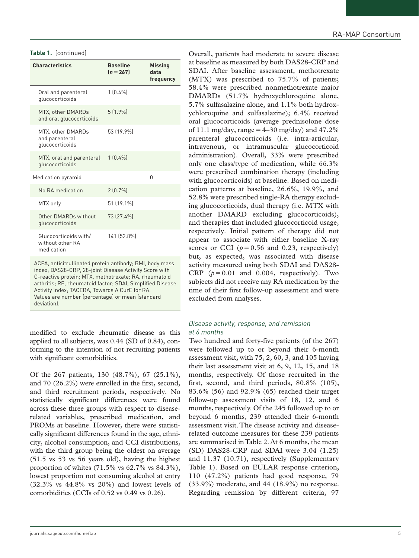| <b>Characteristics</b>                                  | <b>Baseline</b><br>$(n = 267)$ | <b>Missing</b><br>data<br>frequency |
|---------------------------------------------------------|--------------------------------|-------------------------------------|
| Oral and parenteral<br>glucocorticoids                  | $1(0.4\%)$                     |                                     |
| MTX, other DMARDs<br>and oral glucocorticoids           | 5(1.9%                         |                                     |
| MTX, other DMARDs<br>and parenteral<br>glucocorticoids  | 53 (19.9%)                     |                                     |
| MTX, oral and parenteral<br>glucocorticoids             | $1 [0.4\%]$                    |                                     |
| Medication pyramid                                      |                                | U                                   |
| No RA medication                                        | 2(0.7%                         |                                     |
| MTX only                                                | 51 (19.1%)                     |                                     |
| Other DMARDs without<br>glucocorticoids                 | 73 (27.4%)                     |                                     |
| Glucocorticoids with/<br>without other RA<br>medication | 141 [52.8%]                    |                                     |

ACPA, anticitrullinated protein antibody; BMI, body mass index; DAS28-CRP, 28-joint Disease Activity Score with C-reactive protein; MTX, methotrexate; RA, rheumatoid arthritis; RF, rheumatoid factor; SDAI, Simplified Disease Activity Index; TACERA, Towards A CurE for RA. Values are number (percentage) or mean (standard deviation).

modified to exclude rheumatic disease as this applied to all subjects, was 0.44 (SD of 0.84), conforming to the intention of not recruiting patients with significant comorbidities.

Of the 267 patients, 130 (48.7%), 67 (25.1%), and 70 (26.2%) were enrolled in the first, second, and third recruitment periods, respectively. No statistically significant differences were found across these three groups with respect to diseaserelated variables, prescribed medication, and PROMs at baseline. However, there were statistically significant differences found in the age, ethnicity, alcohol consumption, and CCI distributions, with the third group being the oldest on average (51.5 vs 53 vs 56 years old), having the highest proportion of whites  $(71.5\% \text{ vs } 62.7\% \text{ vs } 84.3\%),$ lowest proportion not consuming alcohol at entry (32.3% vs 44.8% vs 20%) and lowest levels of comorbidities (CCIs of 0.52 vs 0.49 vs 0.26).

**Table 1.** (continued) **Continued Continued Continued Continued Continued Continued Continued Continued Continued Continued Continued Continued Continued Continued Continued Continued Contin** at baseline as measured by both DAS28-CRP and SDAI. After baseline assessment, methotrexate (MTX) was prescribed to 75.7% of patients; 58.4% were prescribed nonmethotrexate major DMARDs (51.7% hydroxychloroquine alone, 5.7% sulfasalazine alone, and 1.1% both hydroxychloroquine and sulfasalazine); 6.4% received oral glucocorticoids (average prednisolone dose of 11.1 mg/day, range =  $4-30$  mg/day) and  $47.2\%$ parenteral glucocorticoids (i.e. intra-articular, intravenous, or intramuscular glucocorticoid administration). Overall, 33% were prescribed only one class/type of medication, while 66.3% were prescribed combination therapy (including with glucocorticoids) at baseline. Based on medication patterns at baseline, 26.6%, 19.9%, and 52.8% were prescribed single-RA therapy excluding glucocorticoids, dual therapy (i.e. MTX with another DMARD excluding glucocorticoids), and therapies that included glucocorticoid usage, respectively. Initial pattern of therapy did not appear to associate with either baseline X-ray scores or CCI  $(p=0.56$  and 0.23, respectively) but, as expected, was associated with disease activity measured using both SDAI and DAS28- CRP  $(p=0.01$  and 0.004, respectively). Two subjects did not receive any RA medication by the time of their first follow-up assessment and were excluded from analyses.

# *Disease activity, response, and remission at 6 months*

Two hundred and forty-five patients (of the 267) were followed up to or beyond their 6-month assessment visit, with 75, 2, 60, 3, and 105 having their last assessment visit at 6, 9, 12, 15, and 18 months, respectively. Of those recruited in the first, second, and third periods, 80.8% (105), 83.6% (56) and 92.9% (65) reached their target follow-up assessment visits of 18, 12, and 6 months, respectively. Of the 245 followed up to or beyond 6 months, 239 attended their 6-month assessment visit. The disease activity and diseaserelated outcome measures for these 239 patients are summarised in Table 2. At 6 months, the mean (SD) DAS28-CRP and SDAI were 3.04 (1.25) and 11.37 (10.71), respectively (Supplementary Table 1). Based on EULAR response criterion, 110 (47.2%) patients had good response, 79 (33.9%) moderate, and 44 (18.9%) no response. Regarding remission by different criteria, 97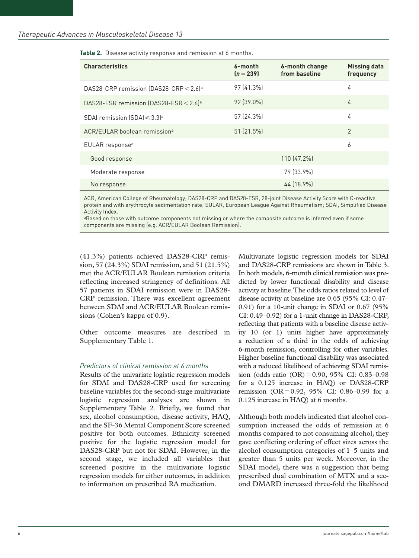| <b>Characteristics</b>                               | 6-month<br>$(n = 239)$ | 6-month change<br>from baseline | <b>Missing data</b><br>frequency |
|------------------------------------------------------|------------------------|---------------------------------|----------------------------------|
| DAS28-CRP remission (DAS28-CRP $<$ 2.6) <sup>a</sup> | 97 (41.3%)             |                                 | 4                                |
| DAS28-ESR remission (DAS28-ESR < 2.6) <sup>a</sup>   | 92 (39.0%)             |                                 | 4                                |
| SDAI remission (SDAI $\leq$ 3.3) <sup>a</sup>        | 57 (24.3%)             |                                 | 4                                |
| ACR/EULAR boolean remission <sup>a</sup>             | 51 (21.5%)             |                                 | 2                                |
| EULAR response <sup>a</sup>                          |                        |                                 | 6                                |
| Good response                                        |                        | 110 (47.2%)                     |                                  |
| Moderate response                                    |                        | 79 (33.9%)                      |                                  |
| No response                                          |                        | 44 (18.9%)                      |                                  |

**Table 2.** Disease activity response and remission at 6 months.

ACR, American College of Rheumatology; DAS28-CRP and DAS28-ESR, 28-joint Disease Activity Score with C-reactive protein and with erythrocyte sedimentation rate; EULAR, European League Against Rheumatism; SDAI, Simplified Disease Activity Index.

<sup>a</sup>Based on those with outcome components not missing or where the composite outcome is inferred even if some components are missing (e.g. ACR/EULAR Boolean Remission).

(41.3%) patients achieved DAS28-CRP remission, 57 (24.3%) SDAI remission, and 51 (21.5%) met the ACR/EULAR Boolean remission criteria reflecting increased stringency of definitions. All 57 patients in SDAI remission were in DAS28- CRP remission. There was excellent agreement between SDAI and ACR/EULAR Boolean remissions (Cohen's kappa of 0.9).

Other outcome measures are described in Supplementary Table 1.

## *Predictors of clinical remission at 6 months*

Results of the univariate logistic regression models for SDAI and DAS28-CRP used for screening baseline variables for the second-stage multivariate logistic regression analyses are shown in Supplementary Table 2. Briefly, we found that sex, alcohol consumption, disease activity, HAQ, and the SF-36 Mental Component Score screened positive for both outcomes. Ethnicity screened positive for the logistic regression model for DAS28-CRP but not for SDAI. However, in the second stage, we included all variables that screened positive in the multivariate logistic regression models for either outcomes, in addition to information on prescribed RA medication.

Multivariate logistic regression models for SDAI and DAS28-CRP remissions are shown in Table 3. In both models, 6-month clinical remission was predicted by lower functional disability and disease activity at baseline. The odds ratios related to level of disease activity at baseline are 0.65 (95% CI: 0.47– 0.91) for a 10-unit change in SDAI or 0.67 (95% CI: 0.49–0.92) for a 1-unit change in DAS28-CRP, reflecting that patients with a baseline disease activity 10 (or 1) units higher have approximately a reduction of a third in the odds of achieving 6-month remission, controlling for other variables. Higher baseline functional disability was associated with a reduced likelihood of achieving SDAI remission (odds ratio (OR)=0.90, 95% CI: 0.83–0.98 for a 0.125 increase in HAQ) or DAS28-CRP remission (OR=0.92, 95% CI: 0.86–0.99 for a 0.125 increase in HAQ) at 6 months.

Although both models indicated that alcohol consumption increased the odds of remission at 6 months compared to not consuming alcohol, they gave conflicting ordering of effect sizes across the alcohol consumption categories of 1–5 units and greater than 5 units per week. Moreover, in the SDAI model, there was a suggestion that being prescribed dual combination of MTX and a second DMARD increased three-fold the likelihood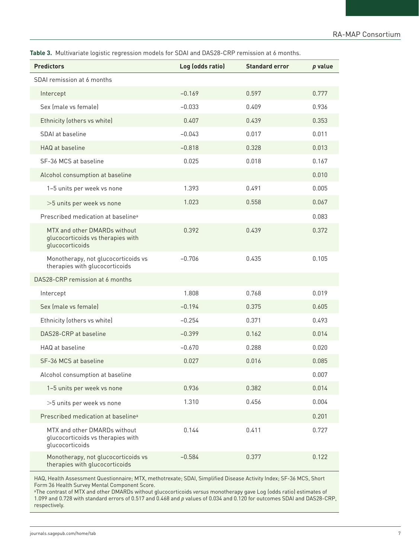**Table 3.** Multivariate logistic regression models for SDAI and DAS28-CRP remission at 6 months.

| <b>Predictors</b>                                                                    | Log (odds ratio) | <b>Standard error</b> | p value |
|--------------------------------------------------------------------------------------|------------------|-----------------------|---------|
| SDAI remission at 6 months                                                           |                  |                       |         |
| Intercept                                                                            | $-0.169$         | 0.597                 | 0.777   |
| Sex (male vs female)                                                                 | $-0.033$         | 0.409                 | 0.936   |
| Ethnicity (others vs white)                                                          | 0.407            | 0.439                 | 0.353   |
| SDAI at baseline                                                                     | $-0.043$         | 0.017                 | 0.011   |
| HAQ at baseline                                                                      | $-0.818$         | 0.328                 | 0.013   |
| SF-36 MCS at baseline                                                                | 0.025            | 0.018                 | 0.167   |
| Alcohol consumption at baseline                                                      |                  |                       | 0.010   |
| 1-5 units per week vs none                                                           | 1.393            | 0.491                 | 0.005   |
| >5 units per week vs none                                                            | 1.023            | 0.558                 | 0.067   |
| Prescribed medication at baseline <sup>a</sup>                                       |                  |                       | 0.083   |
| MTX and other DMARDs without<br>glucocorticoids vs therapies with<br>glucocorticoids | 0.392            | 0.439                 | 0.372   |
| Monotherapy, not glucocorticoids vs<br>therapies with glucocorticoids                | $-0.706$         | 0.435                 | 0.105   |
| DAS28-CRP remission at 6 months                                                      |                  |                       |         |
| Intercept                                                                            | 1.808            | 0.768                 | 0.019   |
| Sex (male vs female)                                                                 | $-0.194$         | 0.375                 | 0.605   |
| Ethnicity (others vs white)                                                          | $-0.254$         | 0.371                 | 0.493   |
| DAS28-CRP at baseline                                                                | $-0.399$         | 0.162                 | 0.014   |
| HAQ at baseline                                                                      | $-0.670$         | 0.288                 | 0.020   |
| SF-36 MCS at baseline                                                                | 0.027            | 0.016                 | 0.085   |
| Alcohol consumption at baseline                                                      |                  |                       | 0.007   |
| 1-5 units per week vs none                                                           | 0.936            | 0.382                 | 0.014   |
| >5 units per week vs none                                                            | 1.310            | 0.456                 | 0.004   |
| Prescribed medication at baseline <sup>a</sup>                                       |                  |                       | 0.201   |
| MTX and other DMARDs without<br>glucocorticoids vs therapies with<br>glucocorticoids | 0.144            | 0.411                 | 0.727   |
| Monotherapy, not glucocorticoids vs<br>therapies with glucocorticoids                | $-0.584$         | 0.377                 | 0.122   |

HAQ, Health Assessment Questionnaire; MTX, methotrexate; SDAI, Simplified Disease Activity Index; SF-36 MCS, Short Form 36 Health Survey Mental Component Score.

aThe contrast of MTX and other DMARDs without glucocorticoids *versus* monotherapy gave Log (odds ratio) estimates of 1.099 and 0.728 with standard errors of 0.517 and 0.468 and *p* values of 0.034 and 0.120 for outcomes SDAI and DAS28-CRP, respectively.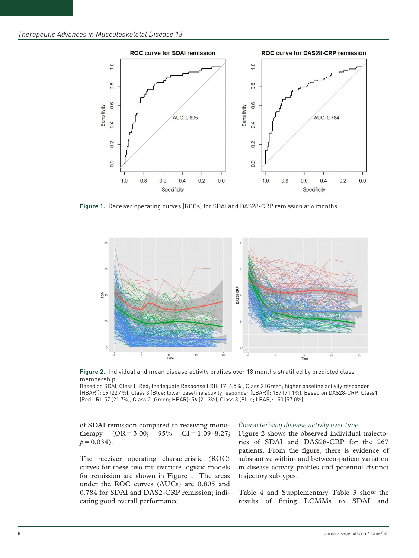

**Figure 1.** Receiver operating curves (ROCs) for SDAI and DAS28-CRP remission at 6 months.



**Figure 2.** Individual and mean disease activity profiles over 18 months stratified by predicted class membership.

Based on SDAI, Class1 (Red; Inadequate Response (IR)): 17 (6.5%), Class 2 (Green; higher baseline activity responder (HBAR)): 59 (22.4%), Class 3 (Blue; lower baseline activity responder (LBAR)): 187 (71.1%). Based on DAS28-CRP, Class1 (Red; IR): 57 (21.7%), Class 2 (Green; HBAR): 56 (21.3%), Class 3 (Blue; LBAR): 150 (57.0%).

of SDAI remission compared to receiving monotherapy  $(OR = 3.00; 95\% \text{ CI} = 1.09 - 8.27;$  $p=0.034$ ).

The receiver operating characteristic (ROC) curves for these two multivariate logistic models for remission are shown in Figure 1. The areas under the ROC curves (AUCs) are 0.805 and 0.784 for SDAI and DAS2-CRP remission; indicating good overall performance.

#### *Characterising disease activity over time*

Figure 2 shows the observed individual trajectories of SDAI and DAS28-CRP for the 267 patients. From the figure, there is evidence of substantive within- and between-patient variation in disease activity profiles and potential distinct trajectory subtypes.

Table 4 and Supplementary Table 3 show the results of fitting LCMMs to SDAI and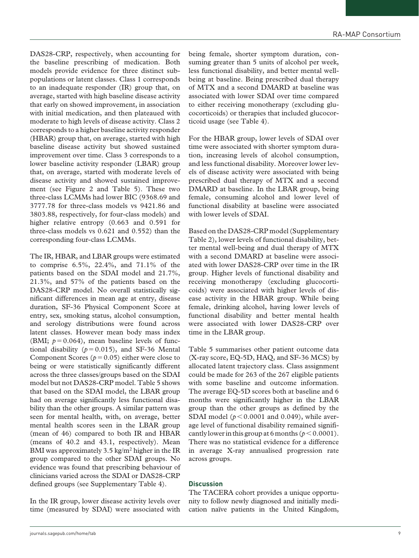DAS28-CRP, respectively, when accounting for the baseline prescribing of medication. Both models provide evidence for three distinct subpopulations or latent classes. Class 1 corresponds to an inadequate responder (IR) group that, on average, started with high baseline disease activity that early on showed improvement, in association with initial medication, and then plateaued with moderate to high levels of disease activity. Class 2 corresponds to a higher baseline activity responder (HBAR) group that, on average, started with high baseline disease activity but showed sustained improvement over time. Class 3 corresponds to a lower baseline activity responder (LBAR) group that, on average, started with moderate levels of disease activity and showed sustained improvement (see Figure 2 and Table 5). These two three-class LCMMs had lower BIC (9368.69 and 3777.78 for three-class models vs 9421.86 and 3803.88, respectively, for four-class models) and higher relative entropy (0.663 and 0.591 for three-class models vs 0.621 and 0.552) than the corresponding four-class LCMMs.

The IR, HBAR, and LBAR groups were estimated to comprise 6.5%, 22.4%, and 71.1% of the patients based on the SDAI model and 21.7%, 21.3%, and 57% of the patients based on the DAS28-CRP model. No overall statistically significant differences in mean age at entry, disease duration, SF-36 Physical Component Score at entry, sex, smoking status, alcohol consumption, and serology distributions were found across latent classes. However mean body mass index (BMI;  $p = 0.064$ ), mean baseline levels of functional disability ( $p = 0.015$ ), and SF-36 Mental Component Scores ( $p = 0.05$ ) either were close to being or were statistically significantly different across the three classes/groups based on the SDAI model but not DAS28-CRP model. Table 5 shows that based on the SDAI model, the LBAR group had on average significantly less functional disability than the other groups. A similar pattern was seen for mental health, with, on average, better mental health scores seen in the LBAR group (mean of 46) compared to both IR and HBAR (means of 40.2 and 43.1, respectively). Mean BMI was approximately 3.5 kg/m<sup>2</sup> higher in the IR group compared to the other SDAI groups. No evidence was found that prescribing behaviour of clinicians varied across the SDAI or DAS28-CRP defined groups (see Supplementary Table 4).

In the IR group, lower disease activity levels over time (measured by SDAI) were associated with

being female, shorter symptom duration, consuming greater than 5 units of alcohol per week, less functional disability, and better mental wellbeing at baseline. Being prescribed dual therapy of MTX and a second DMARD at baseline was associated with lower SDAI over time compared to either receiving monotherapy (excluding glucocorticoids) or therapies that included glucocorticoid usage (see Table 4).

For the HBAR group, lower levels of SDAI over time were associated with shorter symptom duration, increasing levels of alcohol consumption, and less functional disability. Moreover lower levels of disease activity were associated with being prescribed dual therapy of MTX and a second DMARD at baseline. In the LBAR group, being female, consuming alcohol and lower level of functional disability at baseline were associated with lower levels of SDAI.

Based on the DAS28-CRP model (Supplementary Table 2), lower levels of functional disability, better mental well-being and dual therapy of MTX with a second DMARD at baseline were associated with lower DAS28-CRP over time in the IR group. Higher levels of functional disability and receiving monotherapy (excluding glucocorticoids) were associated with higher levels of disease activity in the HBAR group. While being female, drinking alcohol, having lower levels of functional disability and better mental health were associated with lower DAS28-CRP over time in the LBAR group.

Table 5 summarises other patient outcome data (X-ray score, EQ-5D, HAQ, and SF-36 MCS) by allocated latent trajectory class. Class assignment could be made for 263 of the 267 eligible patients with some baseline and outcome information. The average EQ-5D scores both at baseline and 6 months were significantly higher in the LBAR group than the other groups as defined by the SDAI model  $(p < 0.0001$  and 0.049), while average level of functional disability remained significantly lower in this group at 6 months ( $p < 0.0001$ ). There was no statistical evidence for a difference in average X-ray annualised progression rate across groups.

# **Discussion**

The TACERA cohort provides a unique opportunity to follow newly diagnosed and initially medication naïve patients in the United Kingdom,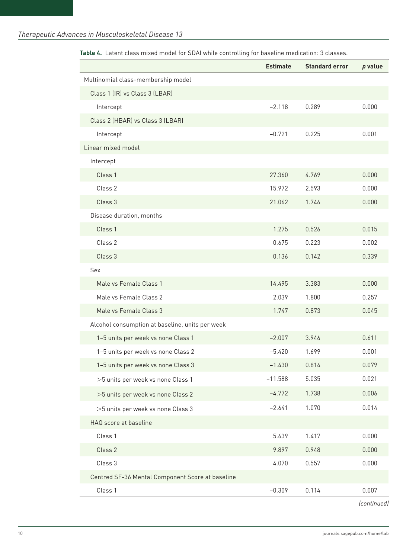|                                                  | <b>Estimate</b> | <b>Standard error</b> | $p$ value |
|--------------------------------------------------|-----------------|-----------------------|-----------|
| Multinomial class-membership model               |                 |                       |           |
| Class 1 (IR) vs Class 3 (LBAR)                   |                 |                       |           |
| Intercept                                        | $-2.118$        | 0.289                 | 0.000     |
| Class 2 (HBAR) vs Class 3 (LBAR)                 |                 |                       |           |
| Intercept                                        | $-0.721$        | 0.225                 | 0.001     |
| Linear mixed model                               |                 |                       |           |
| Intercept                                        |                 |                       |           |
| Class 1                                          | 27.360          | 4.769                 | 0.000     |
| Class 2                                          | 15.972          | 2.593                 | 0.000     |
| Class 3                                          | 21.062          | 1.746                 | 0.000     |
| Disease duration, months                         |                 |                       |           |
| Class 1                                          | 1.275           | 0.526                 | 0.015     |
| Class 2                                          | 0.675           | 0.223                 | 0.002     |
| Class 3                                          | 0.136           | 0.142                 | 0.339     |
| Sex                                              |                 |                       |           |
| Male vs Female Class 1                           | 14.495          | 3.383                 | 0.000     |
| Male vs Female Class 2                           | 2.039           | 1.800                 | 0.257     |
| Male vs Female Class 3                           | 1.747           | 0.873                 | 0.045     |
| Alcohol consumption at baseline, units per week  |                 |                       |           |
| 1-5 units per week vs none Class 1               | $-2.007$        | 3.946                 | 0.611     |
| 1-5 units per week vs none Class 2               | $-5.420$        | 1.699                 | 0.001     |
| 1-5 units per week vs none Class 3               | $-1.430$        | 0.814                 | 0.079     |
| >5 units per week vs none Class 1                | $-11.588$       | 5.035                 | 0.021     |
| >5 units per week vs none Class 2                | $-4.772$        | 1.738                 | 0.006     |
| >5 units per week vs none Class 3                | $-2.641$        | 1.070                 | 0.014     |
| HAQ score at baseline                            |                 |                       |           |
| Class 1                                          | 5.639           | 1.417                 | 0.000     |
| Class 2                                          | 9.897           | 0.948                 | 0.000     |
| Class 3                                          | 4.070           | 0.557                 | 0.000     |
| Centred SF-36 Mental Component Score at baseline |                 |                       |           |
| Class 1                                          | $-0.309$        | 0.114                 | 0.007     |

**Table 4.** Latent class mixed model for SDAI while controlling for baseline medication: 3 classes.

*(continued)*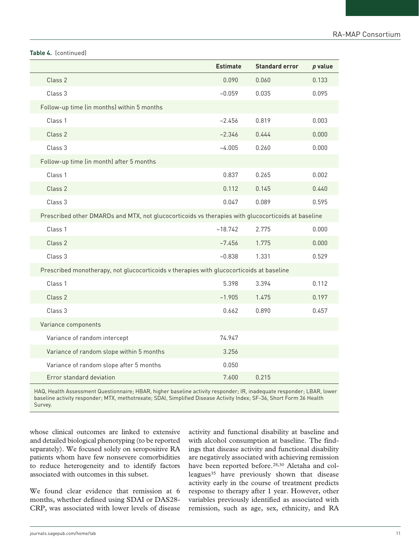## **Table 4.** (continued)

|                                                                                                    | <b>Estimate</b> | <b>Standard error</b> | $p$ value |
|----------------------------------------------------------------------------------------------------|-----------------|-----------------------|-----------|
| Class 2                                                                                            | 0.090           | 0.060                 | 0.133     |
| Class 3                                                                                            | $-0.059$        | 0.035                 | 0.095     |
| Follow-up time (in months) within 5 months                                                         |                 |                       |           |
| Class 1                                                                                            | $-2.456$        | 0.819                 | 0.003     |
| Class 2                                                                                            | $-2.346$        | 0.444                 | 0.000     |
| Class 3                                                                                            | $-4.005$        | 0.260                 | 0.000     |
| Follow-up time (in month) after 5 months                                                           |                 |                       |           |
| Class 1                                                                                            | 0.837           | 0.265                 | 0.002     |
| Class 2                                                                                            | 0.112           | 0.145                 | 0.440     |
| Class 3                                                                                            | 0.047           | 0.089                 | 0.595     |
| Prescribed other DMARDs and MTX, not glucocorticoids vs therapies with glucocorticoids at baseline |                 |                       |           |
| Class 1                                                                                            | $-18.742$       | 2.775                 | 0.000     |
| Class 2                                                                                            | $-7.456$        | 1.775                 | 0.000     |
| Class 3                                                                                            | $-0.838$        | 1.331                 | 0.529     |
| Prescribed monotherapy, not glucocorticoids v therapies with glucocorticoids at baseline           |                 |                       |           |
| Class 1                                                                                            | 5.398           | 3.394                 | 0.112     |
| Class 2                                                                                            | $-1.905$        | 1.475                 | 0.197     |
| Class 3                                                                                            | 0.662           | 0.890                 | 0.457     |
| Variance components                                                                                |                 |                       |           |
| Variance of random intercept                                                                       | 74.947          |                       |           |
| Variance of random slope within 5 months                                                           | 3.256           |                       |           |
| Variance of random slope after 5 months                                                            | 0.050           |                       |           |
| Error standard deviation                                                                           | 7.600           | 0.215                 |           |

HAQ, Health Assessment Questionnaire; HBAR, higher baseline activity responder; IR, inadequate responder; LBAR, lower baseline activity responder; MTX, methotrexate; SDAI, Simplified Disease Activity Index; SF-36, Short Form 36 Health Survey.

whose clinical outcomes are linked to extensive and detailed biological phenotyping (to be reported separately). We focused solely on seropositive RA patients whom have few nonsevere comorbidities to reduce heterogeneity and to identify factors associated with outcomes in this subset.

We found clear evidence that remission at 6 months, whether defined using SDAI or DAS28- CRP, was associated with lower levels of disease

activity and functional disability at baseline and with alcohol consumption at baseline. The findings that disease activity and functional disability are negatively associated with achieving remission have been reported before.28,30 Aletaha and colleagues<sup>35</sup> have previously shown that disease activity early in the course of treatment predicts response to therapy after 1 year. However, other variables previously identified as associated with remission, such as age, sex, ethnicity, and RA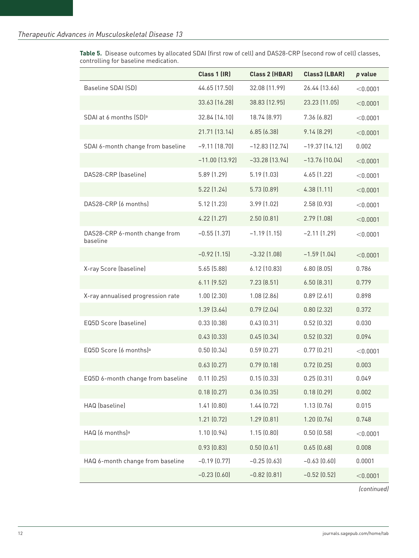**Table 5.** Disease outcomes by allocated SDAI (first row of cell) and DAS28-CRP (second row of cell) classes, controlling for baseline medication.

|                                           | Class 1 (IR)     | Class 2 (HBAR)   | Class3 (LBAR)      | p value  |
|-------------------------------------------|------------------|------------------|--------------------|----------|
| Baseline SDAI (SD)                        | 44.65 (17.50)    | 32.08 (11.99)    | 26.44 [13.66]      | < 0.0001 |
|                                           | 33.63 (16.28)    | 38.83 (12.95)    | 23.23 (11.05)      | < 0.0001 |
| SDAI at 6 months (SD) <sup>a</sup>        | 32.84 (14.10)    | 18.74 (8.97)     | 7.36 (6.82)        | < 0.0001 |
|                                           | 21.71 (13.14)    | 6.85(6.38)       | 9.14(8.29)         | < 0.0001 |
| SDAI 6-month change from baseline         | $-9.11(18.70)$   | $-12.83$ (12.74) | $-19.37$ $(14.12)$ | 0.002    |
|                                           | $-11.00$ (13.92) | $-33.28$ (13.94) | $-13.76$ (10.04)   | < 0.0001 |
| DAS28-CRP (baseline)                      | 5.89 (1.29)      | 5.19 (1.03)      | 4.65(1.22)         | < 0.0001 |
|                                           | 5.22(1.24)       | 5.73 (0.89)      | 4.38(1.11)         | < 0.0001 |
| DAS28-CRP (6 months)                      | 5.12 (1.23)      | 3.99 (1.02)      | 2.58(0.93)         | < 0.0001 |
|                                           | 4.22 (1.27)      | 2.50(0.81)       | 2.79(1.08)         | < 0.0001 |
| DAS28-CRP 6-month change from<br>baseline | $-0.55$ $(1.37)$ | $-1.19$ $(1.15)$ | $-2.11(1.29)$      | < 0.0001 |
|                                           | $-0.92$ (1.15)   | $-3.32$ $(1.08)$ | $-1.59$ (1.04)     | < 0.0001 |
| X-ray Score (baseline)                    | 5.65(5.88)       | 6.12 (10.83)     | 6.80(8.05)         | 0.786    |
|                                           | 6.11(9.52)       | 7.23 (8.51)      | 6.50(8.31)         | 0.779    |
| X-ray annualised progression rate         | $1.00$ $(2.30)$  | 1.08(2.86)       | 0.89(2.61)         | 0.898    |
|                                           | 1.39(3.64)       | 0.79(2.04)       | 0.80(2.32)         | 0.372    |
| EQ5D Score (baseline)                     | 0.33(0.38)       | 0.43(0.31)       | 0.52(0.32)         | 0.030    |
|                                           | 0.43(0.33)       | 0.45(0.34)       | 0.52(0.32)         | 0.094    |
| EQ5D Score (6 months) <sup>a</sup>        | 0.50(0.34)       | 0.59(0.27)       | 0.77(0.21)         | < 0.0001 |
|                                           | 0.63(0.27)       | 0.79(0.18)       | 0.72(0.25)         | 0.003    |
| EQ5D 6-month change from baseline         | 0.11(0.25)       | 0.15(0.33)       | 0.25(0.31)         | 0.049    |
|                                           | 0.18(0.27)       | 0.36(0.35)       | 0.18(0.29)         | 0.002    |
| HAQ (baseline)                            | 1.41(0.80)       | 1.44(0.72)       | 1.13(0.76)         | 0.015    |
|                                           | 1.21(0.72)       | 1.29(0.81)       | 1.20(0.76)         | 0.748    |
| HAQ (6 months) <sup>a</sup>               | 1.10(0.94)       | 1.15(0.80)       | 0.50(0.58)         | < 0.0001 |
|                                           | 0.93(0.83)       | 0.50(0.61)       | 0.65(0.68)         | 0.008    |
| HAQ 6-month change from baseline          | $-0.19$ $(0.77)$ | $-0.25(0.63)$    | $-0.63$ $(0.60)$   | 0.0001   |
|                                           | $-0.23$ $(0.60)$ | $-0.82$ (0.81)   | $-0.52$ (0.52)     | < 0.0001 |

*(continued)*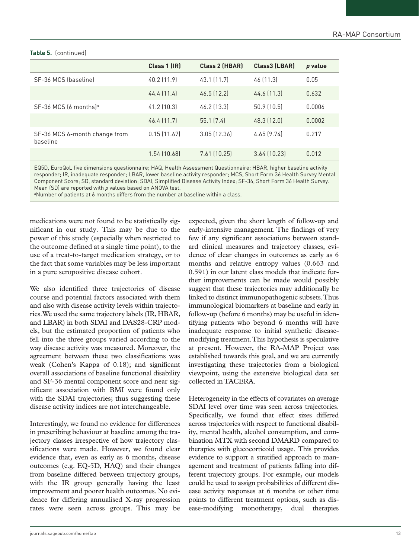# **Table 5.** (continued)

|                                           | Class 1 (IR) | <b>Class 2 (HBAR)</b> | Class3 (LBAR) | p value |
|-------------------------------------------|--------------|-----------------------|---------------|---------|
| SF-36 MCS (baseline)                      | 40.2 (11.9)  | 43.1 (11.7)           | 46 (11.3)     | 0.05    |
|                                           | 44.4 (11.4)  | $46.5$ (12.2)         | 44.6 (11.3)   | 0.632   |
| SF-36 MCS (6 months) <sup>a</sup>         | 41.2 (10.3)  | 46.2 (13.3)           | 50.9(10.5)    | 0.0006  |
|                                           | 46.4 (11.7)  | 55.1(7.4)             | 48.3 (12.0)   | 0.0002  |
| SF-36 MCS 6-month change from<br>baseline | 0.15(11.67)  | 3.05 (12.36)          | 4.65(9.74)    | 0.217   |
|                                           | 1.54 (10.68) | 7.61 (10.25)          | 3.64 (10.23)  | 0.012   |

EQ5D, EuroQoL five dimensions questionnaire; HAQ, Health Assessment Questionnaire; HBAR, higher baseline activity responder; IR, inadequate responder; LBAR, lower baseline activity responder; MCS, Short Form 36 Health Survey Mental Component Score; SD, standard deviation; SDAI, Simplified Disease Activity Index; SF-36, Short Form 36 Health Survey. Mean (SD) are reported with *p* values based on ANOVA test.

aNumber of patients at 6 months differs from the number at baseline within a class.

medications were not found to be statistically significant in our study. This may be due to the power of this study (especially when restricted to the outcome defined at a single time point), to the use of a treat-to-target medication strategy, or to the fact that some variables may be less important in a pure seropositive disease cohort.

We also identified three trajectories of disease course and potential factors associated with them and also with disease activity levels within trajectories. We used the same trajectory labels (IR, HBAR, and LBAR) in both SDAI and DAS28-CRP models, but the estimated proportion of patients who fell into the three groups varied according to the way disease activity was measured. Moreover, the agreement between these two classifications was weak (Cohen's Kappa of 0.18); and significant overall associations of baseline functional disability and SF-36 mental component score and near significant association with BMI were found only with the SDAI trajectories; thus suggesting these disease activity indices are not interchangeable.

Interestingly, we found no evidence for differences in prescribing behaviour at baseline among the trajectory classes irrespective of how trajectory classifications were made. However, we found clear evidence that, even as early as 6 months, disease outcomes (e.g. EQ-5D, HAQ) and their changes from baseline differed between trajectory groups, with the IR group generally having the least improvement and poorer health outcomes. No evidence for differing annualised X-ray progression rates were seen across groups. This may be

expected, given the short length of follow-up and early-intensive management. The findings of very few if any significant associations between standard clinical measures and trajectory classes, evidence of clear changes in outcomes as early as 6 months and relative entropy values (0.663 and 0.591) in our latent class models that indicate further improvements can be made would possibly suggest that these trajectories may additionally be linked to distinct immunopathogenic subsets. Thus immunological biomarkers at baseline and early in follow-up (before 6 months) may be useful in identifying patients who beyond 6 months will have inadequate response to initial synthetic diseasemodifying treatment. This hypothesis is speculative at present. However, the RA-MAP Project was established towards this goal, and we are currently investigating these trajectories from a biological viewpoint, using the extensive biological data set collected in TACERA.

Heterogeneity in the effects of covariates on average SDAI level over time was seen across trajectories. Specifically, we found that effect sizes differed across trajectories with respect to functional disability, mental health, alcohol consumption, and combination MTX with second DMARD compared to therapies with glucocorticoid usage. This provides evidence to support a stratified approach to management and treatment of patients falling into different trajectory groups. For example, our models could be used to assign probabilities of different disease activity responses at 6 months or other time points to different treatment options, such as disease-modifying monotherapy, dual therapies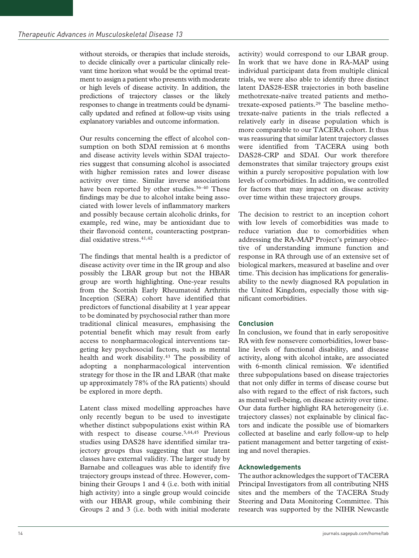without steroids, or therapies that include steroids, to decide clinically over a particular clinically relevant time horizon what would be the optimal treatment to assign a patient who presents with moderate or high levels of disease activity. In addition, the predictions of trajectory classes or the likely responses to change in treatments could be dynamically updated and refined at follow-up visits using explanatory variables and outcome information.

Our results concerning the effect of alcohol consumption on both SDAI remission at 6 months and disease activity levels within SDAI trajectories suggest that consuming alcohol is associated with higher remission rates and lower disease activity over time. Similar inverse associations have been reported by other studies.<sup>36-40</sup> These findings may be due to alcohol intake being associated with lower levels of inflammatory markers and possibly because certain alcoholic drinks, for example, red wine, may be antioxidant due to their flavonoid content, counteracting postprandial oxidative stress.41,42

The findings that mental health is a predictor of disease activity over time in the IR group and also possibly the LBAR group but not the HBAR group are worth highlighting. One-year results from the Scottish Early Rheumatoid Arthritis Inception (SERA) cohort have identified that predictors of functional disability at 1 year appear to be dominated by psychosocial rather than more traditional clinical measures, emphasising the potential benefit which may result from early access to nonpharmacological interventions targeting key psychosocial factors, such as mental health and work disability.43 The possibility of adopting a nonpharmacological intervention strategy for those in the IR and LBAR (that make up approximately 78% of the RA patients) should be explored in more depth.

Latent class mixed modelling approaches have only recently begun to be used to investigate whether distinct subpopulations exist within RA with respect to disease course.<sup>5,44,45</sup> Previous studies using DAS28 have identified similar trajectory groups thus suggesting that our latent classes have external validity. The larger study by Barnabe and colleagues was able to identify five trajectory groups instead of three. However, combining their Groups 1 and 4 (i.e. both with initial high activity) into a single group would coincide with our HBAR group, while combining their Groups 2 and 3 (i.e. both with initial moderate activity) would correspond to our LBAR group. In work that we have done in RA-MAP using individual participant data from multiple clinical trials, we were also able to identify three distinct latent DAS28-ESR trajectories in both baseline methotrexate-naïve treated patients and methotrexate-exposed patients.29 The baseline methotrexate-naïve patients in the trials reflected a relatively early in disease population which is more comparable to our TACERA cohort. It thus was reassuring that similar latent trajectory classes were identified from TACERA using both DAS28-CRP and SDAI. Our work therefore demonstrates that similar trajectory groups exist within a purely seropositive population with low levels of comorbidities. In addition, we controlled for factors that may impact on disease activity over time within these trajectory groups.

The decision to restrict to an inception cohort with low levels of comorbidities was made to reduce variation due to comorbidities when addressing the RA-MAP Project's primary objective of understanding immune function and response in RA through use of an extensive set of biological markers, measured at baseline and over time. This decision has implications for generalisability to the newly diagnosed RA population in the United Kingdom, especially those with significant comorbidities.

# **Conclusion**

In conclusion, we found that in early seropositive RA with few nonsevere comorbidities, lower baseline levels of functional disability, and disease activity, along with alcohol intake, are associated with 6-month clinical remission. We identified three subpopulations based on disease trajectories that not only differ in terms of disease course but also with regard to the effect of risk factors, such as mental well-being, on disease activity over time. Our data further highlight RA heterogeneity (i.e. trajectory classes) not explainable by clinical factors and indicate the possible use of biomarkers collected at baseline and early follow-up to help patient management and better targeting of existing and novel therapies.

# **Acknowledgements**

The author acknowledges the support of TACERA Principal Investigators from all contributing NHS sites and the members of the TACERA Study Steering and Data Monitoring Committee. This research was supported by the NIHR Newcastle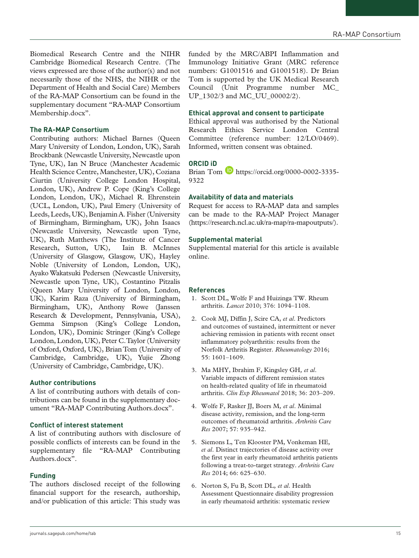Biomedical Research Centre and the NIHR Cambridge Biomedical Research Centre. (The views expressed are those of the author(s) and not necessarily those of the NHS, the NIHR or the Department of Health and Social Care) Members of the RA-MAP Consortium can be found in the supplementary document "RA-MAP Consortium Membership.docx".

## **The RA-MAP Consortium**

Contributing authors: Michael Barnes (Queen Mary University of London, London, UK), Sarah Brockbank (Newcastle University, Newcastle upon Tyne, UK), Ian N Bruce (Manchester Academic Health Science Centre, Manchester, UK), Coziana Ciurtin (University College London Hospital, London, UK), Andrew P. Cope (King's College London, London, UK), Michael R. Ehrenstein (UCL, London, UK), Paul Emery (University of Leeds, Leeds, UK), Benjamin A. Fisher (University of Birmingham, Birmingham, UK), John Isaacs (Newcastle University, Newcastle upon Tyne, UK), Ruth Matthews (The Institute of Cancer Research, Sutton, UK), Iain B. McInnes (University of Glasgow, Glasgow, UK), Hayley Noble (University of London, London, UK), Ayako Wakatsuki Pedersen (Newcastle University, Newcastle upon Tyne, UK), Costantino Pitzalis (Queen Mary University of London, London, UK), Karim Raza (University of Birmingham, Birmingham, UK), Anthony Rowe (Janssen Research & Development, Pennsylvania, USA), Gemma Simpson (King's College London, London, UK), Dominic Stringer (King's College London, London, UK), Peter C. Taylor (University of Oxford, Oxford, UK), Brian Tom (University of Cambridge, Cambridge, UK), Yujie Zhong (University of Cambridge, Cambridge, UK).

#### **Author contributions**

A list of contributing authors with details of contributions can be found in the supplementary document "RA-MAP Contributing Authors.docx".

## **Conflict of interest statement**

A list of contributing authors with disclosure of possible conflicts of interests can be found in the supplementary file "RA-MAP Contributing Authors.docx".

#### **Funding**

The authors disclosed receipt of the following financial support for the research, authorship, and/or publication of this article: This study was funded by the MRC/ABPI Inflammation and Immunology Initiative Grant (MRC reference numbers: G1001516 and G1001518). Dr Brian Tom is supported by the UK Medical Research Council (Unit Programme number MC\_ UP 1302/3 and MC\_UU\_00002/2).

#### **Ethical approval and consent to participate**

Ethical approval was authorised by the National Research Ethics Service London Central Committee (reference number: 12/LO/0469). Informed, written consent was obtained.

## **ORCID iD**

Brian Tom  $\bullet$  https://orcid.org/0000-0002-3335-9322

# **Availability of data and materials**

Request for access to RA-MAP data and samples can be made to the RA-MAP Project Manager (https://research.ncl.ac.uk/ra-map/ra-mapoutputs/).

#### **Supplemental material**

Supplemental material for this article is available online.

#### **References**

- 1. Scott DL, Wolfe F and Huizinga TW. Rheum arthritis. *Lancet* 2010; 376: 1094–1108.
- 2. Cook MJ, Diffin J, Scire CA, *et al*. Predictors and outcomes of sustained, intermittent or never achieving remission in patients with recent onset inflammatory polyarthritis: results from the Norfolk Arthritis Register. *Rheumatology* 2016; 55: 1601–1609.
- 3. Ma MHY, Ibrahim F, Kingsley GH*, et al*. Variable impacts of different remission states on health-related quality of life in rheumatoid arthritis. *Clin Exp Rheumatol* 2018; 36: 203–209.
- 4. Wolfe F, Rasker JJ, Boers M*, et al*. Minimal disease activity, remission, and the long-term outcomes of rheumatoid arthritis. *Arthritis Care Res* 2007; 57: 935–942.
- 5. Siemons L, Ten Klooster PM, Vonkeman HE*, et al*. Distinct trajectories of disease activity over the first year in early rheumatoid arthritis patients following a treat-to-target strategy. *Arthritis Care Res* 2014; 66: 625–630.
- 6. Norton S, Fu B, Scott DL*, et al*. Health Assessment Questionnaire disability progression in early rheumatoid arthritis: systematic review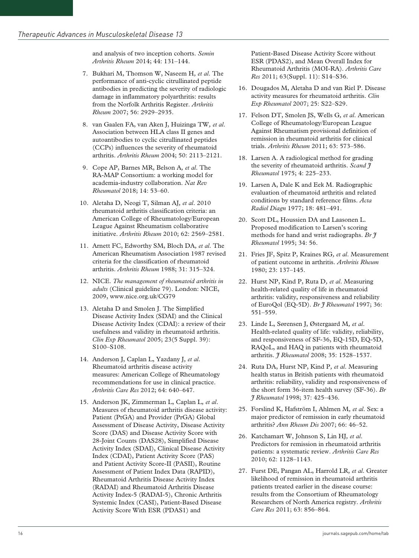and analysis of two inception cohorts. *Semin Arthritis Rheum* 2014; 44: 131–144.

- 7. Bukhari M, Thomson W, Naseem H*, et al*. The performance of anti-cyclic citrullinated peptide antibodies in predicting the severity of radiologic damage in inflammatory polyarthritis: results from the Norfolk Arthritis Register. *Arthritis Rheum* 2007; 56: 2929–2935.
- 8. van Gaalen FA, van Aken J, Huizinga TW*, et al*. Association between HLA class II genes and autoantibodies to cyclic citrullinated peptides (CCPs) influences the severity of rheumatoid arthritis. *Arthritis Rheum* 2004; 50: 2113–2121.
- 9. Cope AP, Barnes MR, Belson A*, et al*. The RA-MAP Consortium: a working model for academia-industry collaboration. *Nat Rev Rheumatol* 2018; 14: 53–60.
- 10. Aletaha D, Neogi T, Silman AJ*, et al*. 2010 rheumatoid arthritis classification criteria: an American College of Rheumatology/European League Against Rheumatism collaborative initiative. *Arthritis Rheum* 2010; 62: 2569–2581.
- 11. Arnett FC, Edworthy SM, Bloch DA*, et al*. The American Rheumatism Association 1987 revised criteria for the classification of rheumatoid arthritis. *Arthritis Rheum* 1988; 31: 315–324.
- 12. NICE. *The management of rheumatoid arthritis in adults* (Clinical guideline 79). London: NICE, 2009, www.nice.org.uk/CG79
- 13. Aletaha D and Smolen J. The Simplified Disease Activity Index (SDAI) and the Clinical Disease Activity Index (CDAI): a review of their usefulness and validity in rheumatoid arthritis. *Clin Exp Rheumatol* 2005; 23(5 Suppl. 39): S100–S108.
- 14. Anderson J, Caplan L, Yazdany J*, et al*. Rheumatoid arthritis disease activity measures: American College of Rheumatology recommendations for use in clinical practice. *Arthritis Care Res* 2012; 64: 640–647.
- 15. Anderson JK, Zimmerman L, Caplan L*, et al*. Measures of rheumatoid arthritis disease activity: Patient (PtGA) and Provider (PrGA) Global Assessment of Disease Activity, Disease Activity Score (DAS) and Disease Activity Score with 28-Joint Counts (DAS28), Simplified Disease Activity Index (SDAI), Clinical Disease Activity Index (CDAI), Patient Activity Score (PAS) and Patient Activity Score-II (PASII), Routine Assessment of Patient Index Data (RAPID), Rheumatoid Arthritis Disease Activity Index (RADAI) and Rheumatoid Arthritis Disease Activity Index-5 (RADAI-5), Chronic Arthritis Systemic Index (CASI), Patient-Based Disease Activity Score With ESR (PDAS1) and

Patient-Based Disease Activity Score without ESR (PDAS2), and Mean Overall Index for Rheumatoid Arthritis (MOI-RA). *Arthritis Care Res* 2011; 63(Suppl. 11): S14–S36.

- 16. Dougados M, Aletaha D and van Riel P. Disease activity measures for rheumatoid arthritis. *Clin Exp Rheumatol* 2007; 25: S22–S29.
- 17. Felson DT, Smolen JS, Wells G*, et al*. American College of Rheumatology/European League Against Rheumatism provisional definition of remission in rheumatoid arthritis for clinical trials. *Arthritis Rheum* 2011; 63: 573–586.
- 18. Larsen A. A radiological method for grading the severity of rheumatoid arthritis. *Scand J Rheumatol* 1975; 4: 225–233.
- 19. Larsen A, Dale K and Eek M. Radiographic evaluation of rheumatoid arthritis and related conditions by standard reference films. *Acta Radiol Diagn* 1977; 18: 481–491.
- 20. Scott DL, Houssien DA and Laasonen L. Proposed modification to Larsen's scoring methods for hand and wrist radiographs. *Br J Rheumatol* 1995; 34: 56.
- 21. Fries JF, Spitz P, Kraines RG*, et al*. Measurement of patient outcome in arthritis. *Arthritis Rheum* 1980; 23: 137–145.
- 22. Hurst NP, Kind P, Ruta D*, et al*. Measuring health-related quality of life in rheumatoid arthritis: validity, responsiveness and reliability of EuroQol (EQ-5D). *Br J Rheumatol* 1997; 36: 551–559.
- 23. Linde L, Sørensen J, Østergaard M*, et al*. Health-related quality of life: validity, reliability, and responsiveness of SF-36, EQ-15D, EQ-5D, RAQoL, and HAQ in patients with rheumatoid arthritis. *J Rheumatol* 2008; 35: 1528–1537.
- 24. Ruta DA, Hurst NP, Kind P*, et al*. Measuring health status in British patients with rheumatoid arthritis: reliability, validity and responsiveness of the short form 36-item health survey (SF-36). *Br J Rheumatol* 1998; 37: 425–436.
- 25. Forslind K, Hafström I, Ahlmen M*, et al*. Sex: a major predictor of remission in early rheumatoid arthritis? *Ann Rheum Dis* 2007; 66: 46–52.
- 26. Katchamart W, Johnson S, Lin HJ*, et al*. Predictors for remission in rheumatoid arthritis patients: a systematic review. *Arthritis Care Res* 2010; 62: 1128–1143.
- 27. Furst DE, Pangan AL, Harrold LR*, et al*. Greater likelihood of remission in rheumatoid arthritis patients treated earlier in the disease course: results from the Consortium of Rheumatology Researchers of North America registry. *Arthritis Care Res* 2011; 63: 856–864.